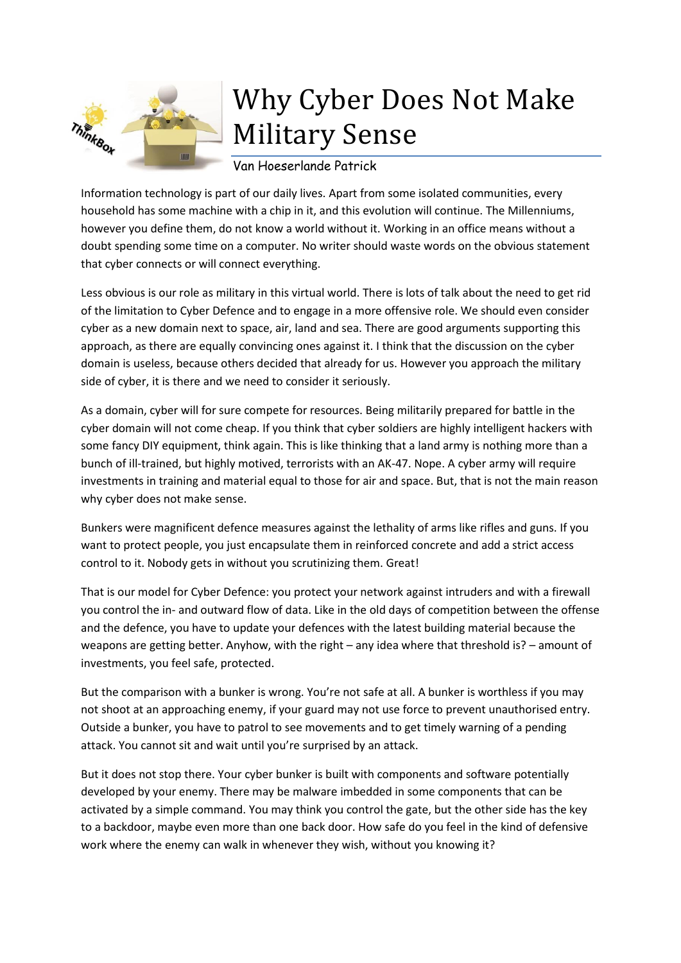

## Why Cyber Does Not Make Military Sense

Van Hoeserlande Patrick

Information technology is part of our daily lives. Apart from some isolated communities, every household has some machine with a chip in it, and this evolution will continue. The Millenniums, however you define them, do not know a world without it. Working in an office means without a doubt spending some time on a computer. No writer should waste words on the obvious statement that cyber connects or will connect everything.

Less obvious is our role as military in this virtual world. There is lots of talk about the need to get rid of the limitation to Cyber Defence and to engage in a more offensive role. We should even consider cyber as a new domain next to space, air, land and sea. There are good arguments supporting this approach, as there are equally convincing ones against it. I think that the discussion on the cyber domain is useless, because others decided that already for us. However you approach the military side of cyber, it is there and we need to consider it seriously.

As a domain, cyber will for sure compete for resources. Being militarily prepared for battle in the cyber domain will not come cheap. If you think that cyber soldiers are highly intelligent hackers with some fancy DIY equipment, think again. This is like thinking that a land army is nothing more than a bunch of ill-trained, but highly motived, terrorists with an AK-47. Nope. A cyber army will require investments in training and material equal to those for air and space. But, that is not the main reason why cyber does not make sense.

Bunkers were magnificent defence measures against the lethality of arms like rifles and guns. If you want to protect people, you just encapsulate them in reinforced concrete and add a strict access control to it. Nobody gets in without you scrutinizing them. Great!

That is our model for Cyber Defence: you protect your network against intruders and with a firewall you control the in- and outward flow of data. Like in the old days of competition between the offense and the defence, you have to update your defences with the latest building material because the weapons are getting better. Anyhow, with the right – any idea where that threshold is? – amount of investments, you feel safe, protected.

But the comparison with a bunker is wrong. You're not safe at all. A bunker is worthless if you may not shoot at an approaching enemy, if your guard may not use force to prevent unauthorised entry. Outside a bunker, you have to patrol to see movements and to get timely warning of a pending attack. You cannot sit and wait until you're surprised by an attack.

But it does not stop there. Your cyber bunker is built with components and software potentially developed by your enemy. There may be malware imbedded in some components that can be activated by a simple command. You may think you control the gate, but the other side has the key to a backdoor, maybe even more than one back door. How safe do you feel in the kind of defensive work where the enemy can walk in whenever they wish, without you knowing it?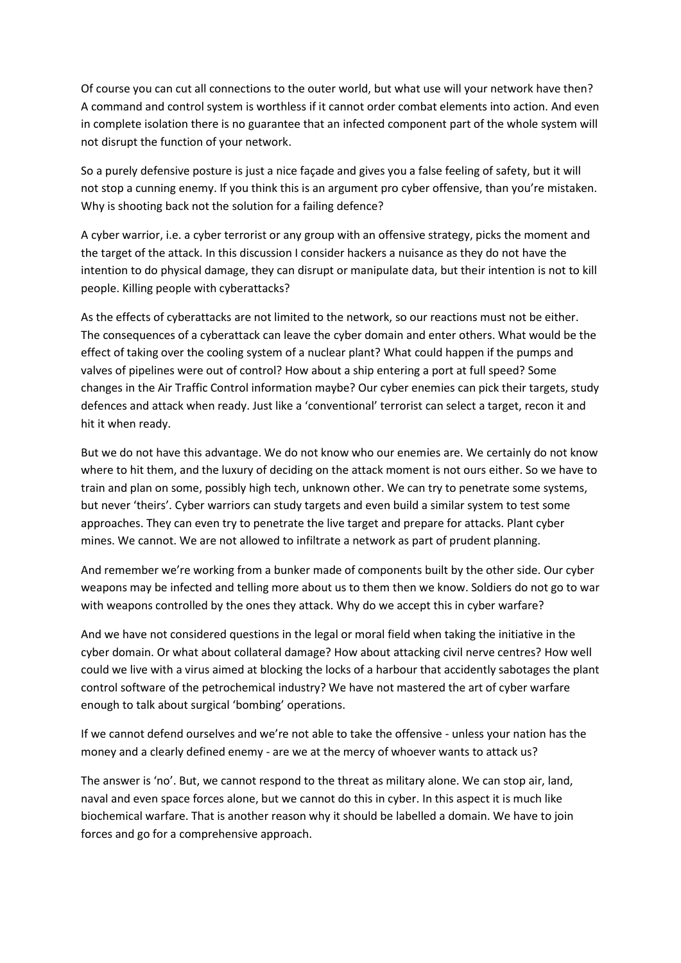Of course you can cut all connections to the outer world, but what use will your network have then? A command and control system is worthless if it cannot order combat elements into action. And even in complete isolation there is no guarantee that an infected component part of the whole system will not disrupt the function of your network.

So a purely defensive posture is just a nice façade and gives you a false feeling of safety, but it will not stop a cunning enemy. If you think this is an argument pro cyber offensive, than you're mistaken. Why is shooting back not the solution for a failing defence?

A cyber warrior, i.e. a cyber terrorist or any group with an offensive strategy, picks the moment and the target of the attack. In this discussion I consider hackers a nuisance as they do not have the intention to do physical damage, they can disrupt or manipulate data, but their intention is not to kill people. Killing people with cyberattacks?

As the effects of cyberattacks are not limited to the network, so our reactions must not be either. The consequences of a cyberattack can leave the cyber domain and enter others. What would be the effect of taking over the cooling system of a nuclear plant? What could happen if the pumps and valves of pipelines were out of control? How about a ship entering a port at full speed? Some changes in the Air Traffic Control information maybe? Our cyber enemies can pick their targets, study defences and attack when ready. Just like a 'conventional' terrorist can select a target, recon it and hit it when ready.

But we do not have this advantage. We do not know who our enemies are. We certainly do not know where to hit them, and the luxury of deciding on the attack moment is not ours either. So we have to train and plan on some, possibly high tech, unknown other. We can try to penetrate some systems, but never 'theirs'. Cyber warriors can study targets and even build a similar system to test some approaches. They can even try to penetrate the live target and prepare for attacks. Plant cyber mines. We cannot. We are not allowed to infiltrate a network as part of prudent planning.

And remember we're working from a bunker made of components built by the other side. Our cyber weapons may be infected and telling more about us to them then we know. Soldiers do not go to war with weapons controlled by the ones they attack. Why do we accept this in cyber warfare?

And we have not considered questions in the legal or moral field when taking the initiative in the cyber domain. Or what about collateral damage? How about attacking civil nerve centres? How well could we live with a virus aimed at blocking the locks of a harbour that accidently sabotages the plant control software of the petrochemical industry? We have not mastered the art of cyber warfare enough to talk about surgical 'bombing' operations.

If we cannot defend ourselves and we're not able to take the offensive - unless your nation has the money and a clearly defined enemy - are we at the mercy of whoever wants to attack us?

The answer is 'no'. But, we cannot respond to the threat as military alone. We can stop air, land, naval and even space forces alone, but we cannot do this in cyber. In this aspect it is much like biochemical warfare. That is another reason why it should be labelled a domain. We have to join forces and go for a comprehensive approach.